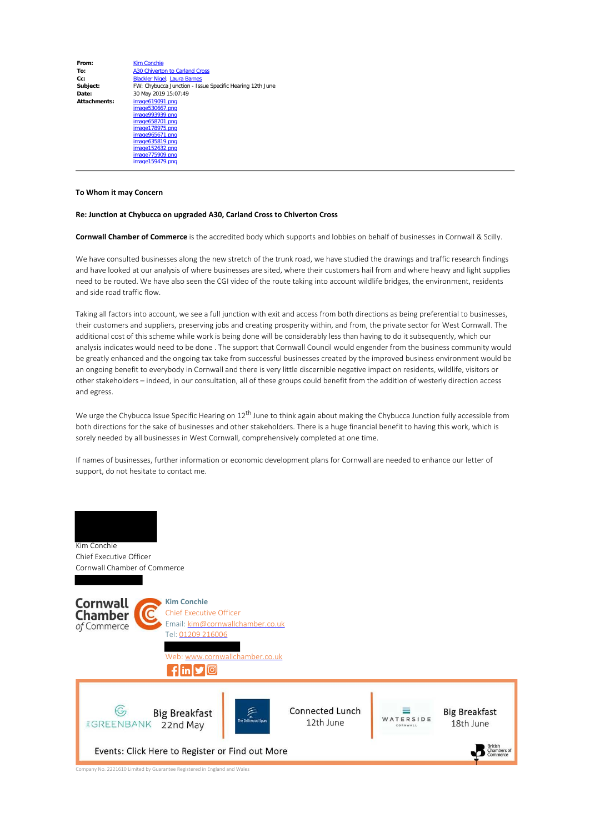| From:        | <b>Kim Conchie</b>                                       |
|--------------|----------------------------------------------------------|
| To:          | A30 Chiverton to Carland Cross                           |
| $Cc$ :       | <b>Blackler Nigel: Laura Barnes</b>                      |
| Subject:     | FW: Chybucca Junction - Issue Specific Hearing 12th June |
| Date:        | 30 May 2019 15:07:49                                     |
| Attachments: | image619091.png                                          |
|              | image530667.png                                          |
|              | image993939.png                                          |
|              | image658701.png                                          |
|              | image178975.png                                          |
|              | image965671.png                                          |
|              | image635819.png                                          |
|              | image152632.png                                          |
|              | image775909.png                                          |
|              | image159479.png                                          |

## **To Whom it may Concern**

## **Re: Junction at Chybucca on upgraded A30, Carland Cross to Chiverton Cross**

**Cornwall Chamber of Commerce** is the accredited body which supports and lobbies on behalf of businesses in Cornwall & Scilly.

We have consulted businesses along the new stretch of the trunk road, we have studied the drawings and traffic research findings and have looked at our analysis of where businesses are sited, where their customers hail from and where heavy and light supplies need to be routed. We have also seen the CGI video of the route taking into account wildlife bridges, the environment, residents and side road traffic flow.

Taking all factors into account, we see a full junction with exit and access from both directions as being preferential to businesses, their customers and suppliers, preserving jobs and creating prosperity within, and from, the private sector for West Cornwall. The additional cost of this scheme while work is being done will be considerably less than having to do it subsequently, which our analysis indicates would need to be done . The support that Cornwall Council would engender from the business community would be greatly enhanced and the ongoing tax take from successful businesses created by the improved business environment would be an ongoing benefit to everybody in Cornwall and there is very little discernible negative impact on residents, wildlife, visitors or other stakeholders – indeed, in our consultation, all of these groups could benefit from the addition of westerly direction access and egress.

We urge the Chybucca Issue Specific Hearing on 12<sup>th</sup> June to think again about making the Chybucca Junction fully accessible from both directions for the sake of businesses and other stakeholders. There is a huge financial benefit to having this work, which is sorely needed by all businesses in West Cornwall, comprehensively completed at one time.

If names of businesses, further information or economic development plans for Cornwall are needed to enhance our letter of support, do not hesitate to contact me.



Company No. 2221610 Limited by Guarantee Registered in England and Wales